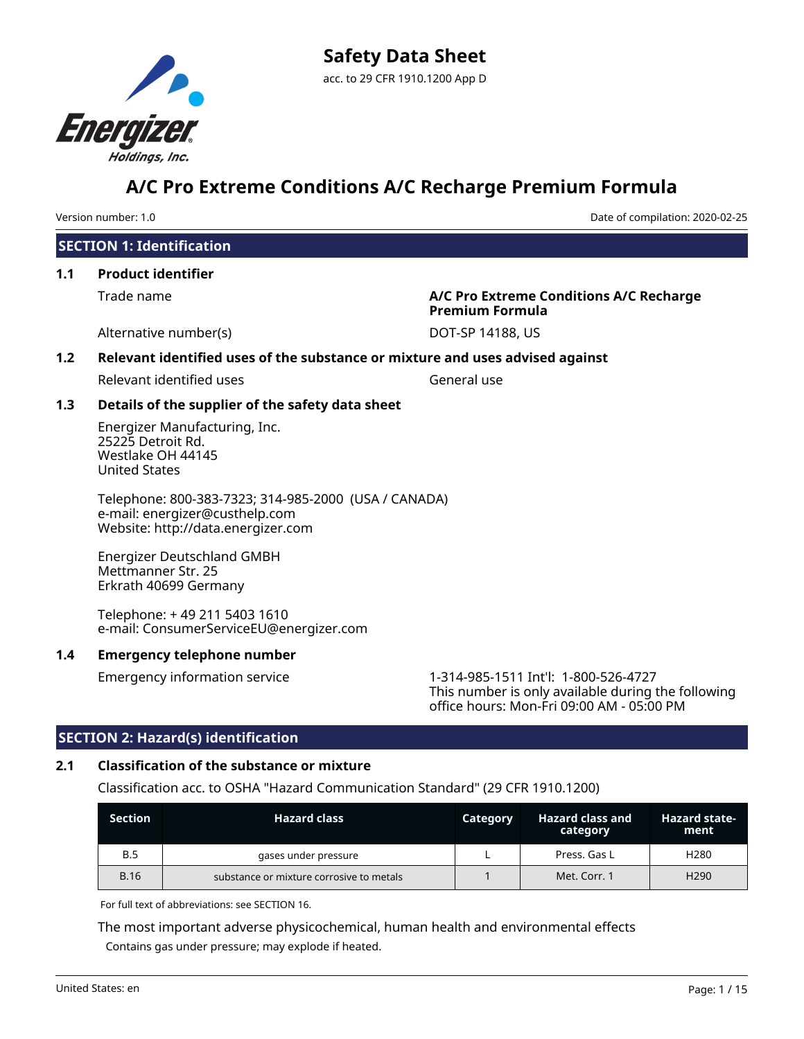

Version number: 1.0 Date of compilation: 2020-02-25

# **SECTION 1: Identification**

# **1.1 Product identifier**

Trade name **A/C Pro Extreme Conditions A/C Recharge Premium Formula**

Alternative number(s) and the DOT-SP 14188, US

# **1.2 Relevant identified uses of the substance or mixture and uses advised against**

Relevant identified uses General use

# **1.3 Details of the supplier of the safety data sheet**

Energizer Manufacturing, Inc. 25225 Detroit Rd. Westlake OH 44145 United States

Telephone: 800-383-7323; 314-985-2000 (USA / CANADA) e-mail: energizer@custhelp.com Website: http://data.energizer.com

Energizer Deutschland GMBH Mettmanner Str. 25 Erkrath 40699 Germany

Telephone: + 49 211 5403 1610 e-mail: ConsumerServiceEU@energizer.com

# **1.4 Emergency telephone number**

Emergency information service 1-314-985-1511 Int'l: 1-800-526-4727 This number is only available during the following office hours: Mon-Fri 09:00 AM - 05:00 PM

# **SECTION 2: Hazard(s) identification**

# **2.1 Classification of the substance or mixture**

Classification acc. to OSHA "Hazard Communication Standard" (29 CFR 1910.1200)

| <b>Section</b> | <b>Hazard class</b>                      | Category | <b>Hazard class and</b><br>category | <b>Hazard state-</b><br>ment |
|----------------|------------------------------------------|----------|-------------------------------------|------------------------------|
| <b>B.5</b>     | gases under pressure                     |          | Press. Gas L                        | H <sub>280</sub>             |
| <b>B.16</b>    | substance or mixture corrosive to metals |          | Met. Corr. 1                        | H <sub>290</sub>             |

For full text of abbreviations: see SECTION 16.

The most important adverse physicochemical, human health and environmental effects Contains gas under pressure; may explode if heated.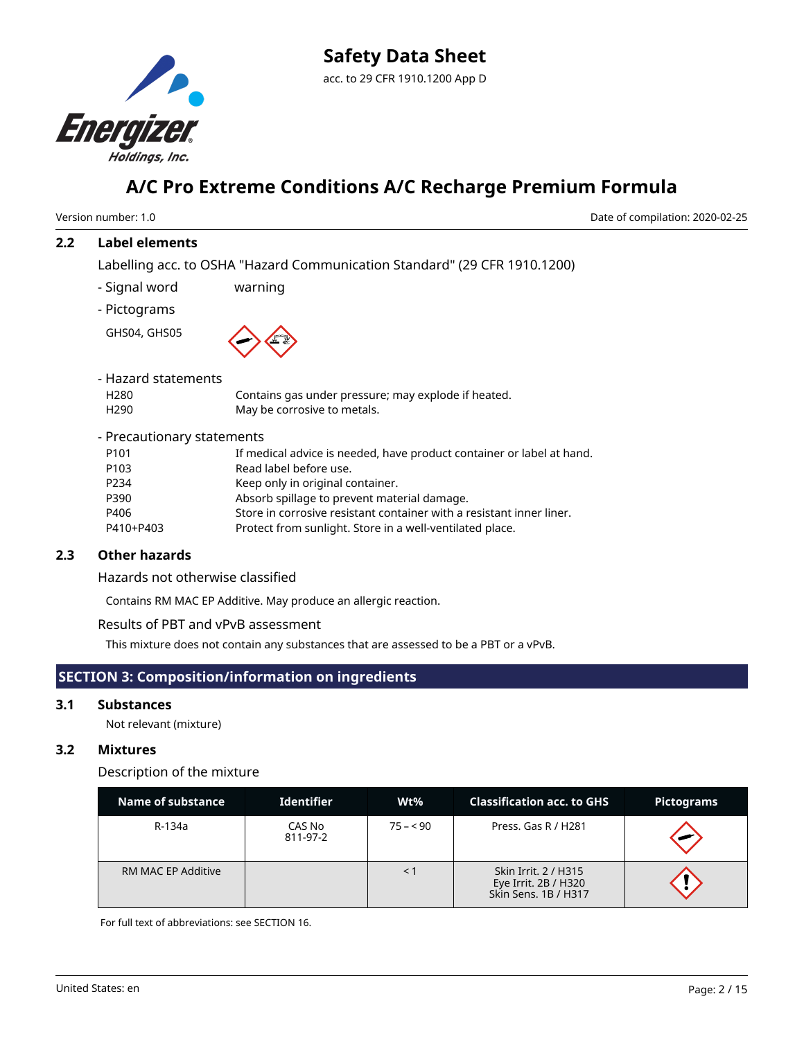

Version number: 1.0 Date of compilation: 2020-02-25

### **2.2 Label elements**

Labelling acc. to OSHA "Hazard Communication Standard" (29 CFR 1910.1200)

- Signal word warning

- Pictograms

GHS04, GHS05



| - Hazard statements        |                                                                       |
|----------------------------|-----------------------------------------------------------------------|
| H <sub>280</sub>           | Contains gas under pressure; may explode if heated.                   |
| H <sub>290</sub>           | May be corrosive to metals.                                           |
| - Precautionary statements |                                                                       |
| P <sub>101</sub>           | If medical advice is needed, have product container or label at hand. |
| P <sub>103</sub>           | Read label before use.                                                |
| P234                       | Keep only in original container.                                      |
| P390                       | Absorb spillage to prevent material damage.                           |
| P406                       | Store in corrosive resistant container with a resistant inner liner.  |
| P410+P403                  | Protect from sunlight. Store in a well-ventilated place.              |
|                            |                                                                       |

# **2.3 Other hazards**

Hazards not otherwise classified

Contains RM MAC EP Additive. May produce an allergic reaction.

Results of PBT and vPvB assessment

This mixture does not contain any substances that are assessed to be a PBT or a vPvB.

# **SECTION 3: Composition/information on ingredients**

### **3.1 Substances**

Not relevant (mixture)

# **3.2 Mixtures**

Description of the mixture

| Name of substance         | <b>Identifier</b>  | Wt%       | <b>Classification acc. to GHS</b>                                    | <b>Pictograms</b> |
|---------------------------|--------------------|-----------|----------------------------------------------------------------------|-------------------|
| R-134a                    | CAS No<br>811-97-2 | $75 - 90$ | Press. Gas R / H281                                                  |                   |
| <b>RM MAC EP Additive</b> |                    |           | Skin Irrit. 2 / H315<br>Eye Irrit. 2B / H320<br>Skin Sens, 1B / H317 |                   |

For full text of abbreviations: see SECTION 16.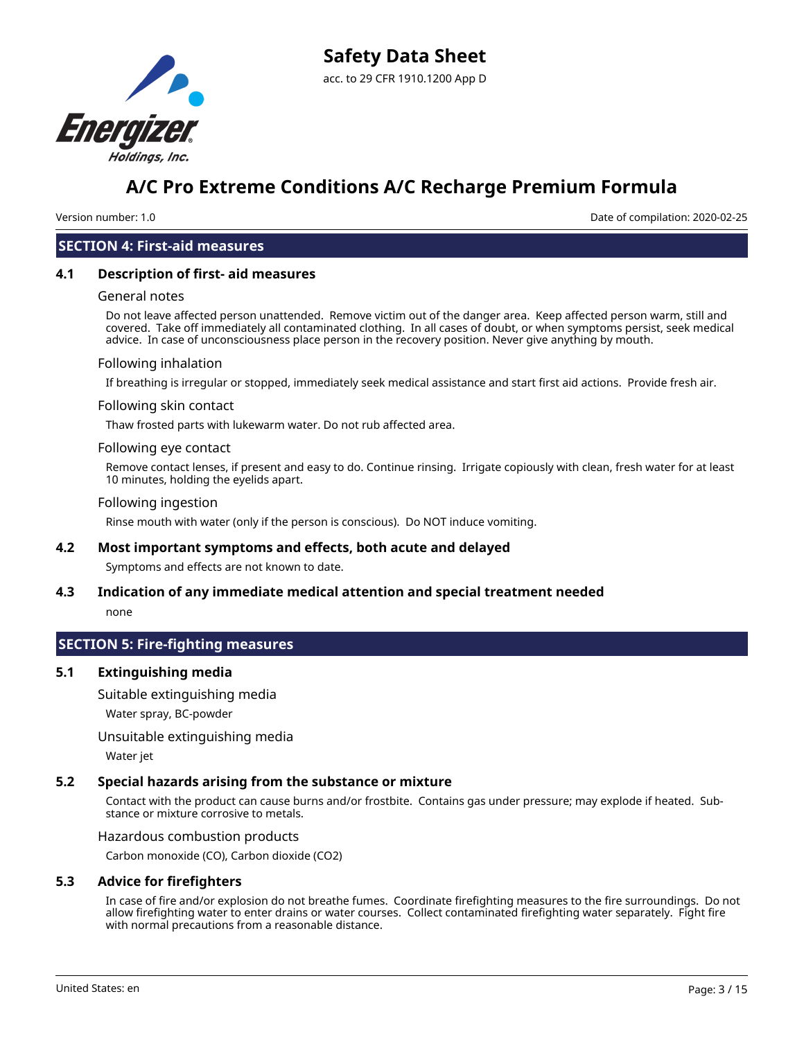

Version number: 1.0 Date of compilation: 2020-02-25

#### **SECTION 4: First-aid measures**

#### **4.1 Description of first- aid measures**

#### General notes

Do not leave affected person unattended. Remove victim out of the danger area. Keep affected person warm, still and covered. Take off immediately all contaminated clothing. In all cases of doubt, or when symptoms persist, seek medical advice. In case of unconsciousness place person in the recovery position. Never give anything by mouth.

#### Following inhalation

If breathing is irregular or stopped, immediately seek medical assistance and start first aid actions. Provide fresh air.

#### Following skin contact

Thaw frosted parts with lukewarm water. Do not rub affected area.

#### Following eye contact

Remove contact lenses, if present and easy to do. Continue rinsing. Irrigate copiously with clean, fresh water for at least 10 minutes, holding the eyelids apart.

#### Following ingestion

Rinse mouth with water (only if the person is conscious). Do NOT induce vomiting.

#### **4.2 Most important symptoms and effects, both acute and delayed**

Symptoms and effects are not known to date.

# **4.3 Indication of any immediate medical attention and special treatment needed**

none

# **SECTION 5: Fire-fighting measures**

### **5.1 Extinguishing media**

Suitable extinguishing media

Water spray, BC-powder

Unsuitable extinguishing media

Water jet

#### **5.2 Special hazards arising from the substance or mixture**

Contact with the product can cause burns and/or frostbite. Contains gas under pressure; may explode if heated. Substance or mixture corrosive to metals.

Hazardous combustion products

Carbon monoxide (CO), Carbon dioxide (CO2)

#### **5.3 Advice for firefighters**

In case of fire and/or explosion do not breathe fumes. Coordinate firefighting measures to the fire surroundings. Do not allow firefighting water to enter drains or water courses. Collect contaminated firefighting water separately. Fight fire with normal precautions from a reasonable distance.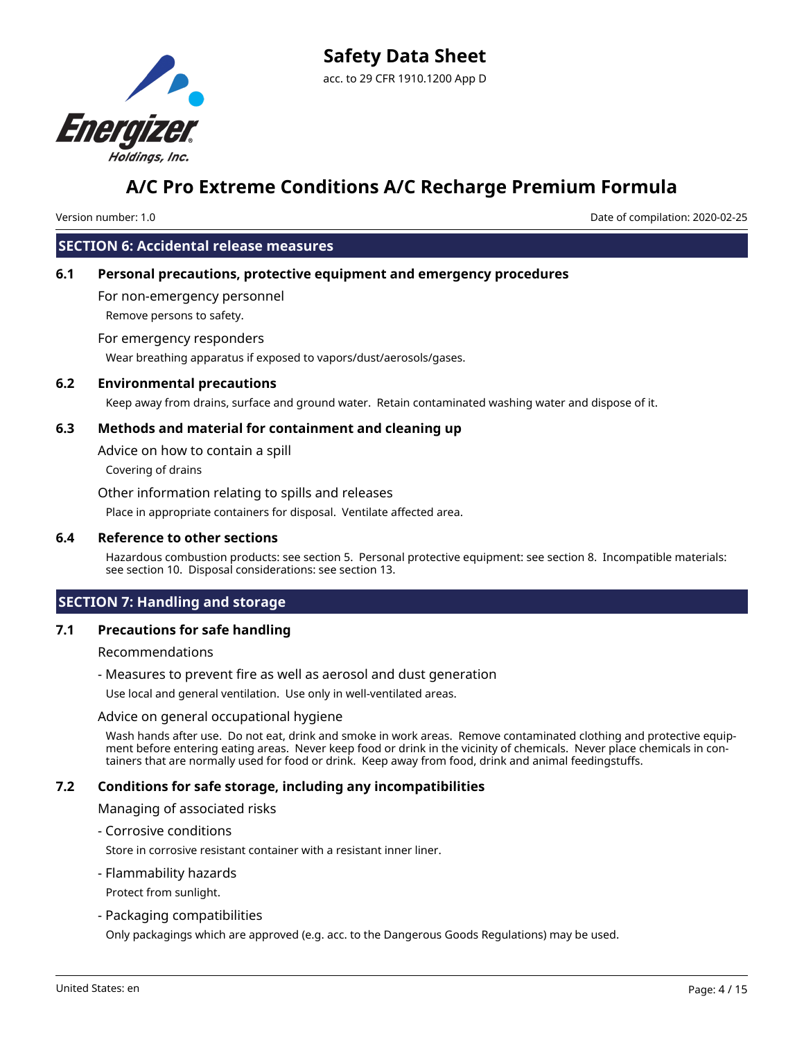

Version number: 1.0 Date of compilation: 2020-02-25

# **SECTION 6: Accidental release measures**

# **6.1 Personal precautions, protective equipment and emergency procedures**

For non-emergency personnel

Remove persons to safety.

#### For emergency responders

Wear breathing apparatus if exposed to vapors/dust/aerosols/gases.

### **6.2 Environmental precautions**

Keep away from drains, surface and ground water. Retain contaminated washing water and dispose of it.

### **6.3 Methods and material for containment and cleaning up**

Advice on how to contain a spill

Covering of drains

Other information relating to spills and releases

Place in appropriate containers for disposal. Ventilate affected area.

#### **6.4 Reference to other sections**

Hazardous combustion products: see section 5. Personal protective equipment: see section 8. Incompatible materials: see section 10. Disposal considerations: see section 13.

# **SECTION 7: Handling and storage**

### **7.1 Precautions for safe handling**

Recommendations

- Measures to prevent fire as well as aerosol and dust generation

Use local and general ventilation. Use only in well-ventilated areas.

#### Advice on general occupational hygiene

Wash hands after use. Do not eat, drink and smoke in work areas. Remove contaminated clothing and protective equipment before entering eating areas. Never keep food or drink in the vicinity of chemicals. Never place chemicals in containers that are normally used for food or drink. Keep away from food, drink and animal feedingstuffs.

### **7.2 Conditions for safe storage, including any incompatibilities**

Managing of associated risks

- Corrosive conditions

Store in corrosive resistant container with a resistant inner liner.

#### - Flammability hazards

Protect from sunlight.

#### - Packaging compatibilities

Only packagings which are approved (e.g. acc. to the Dangerous Goods Regulations) may be used.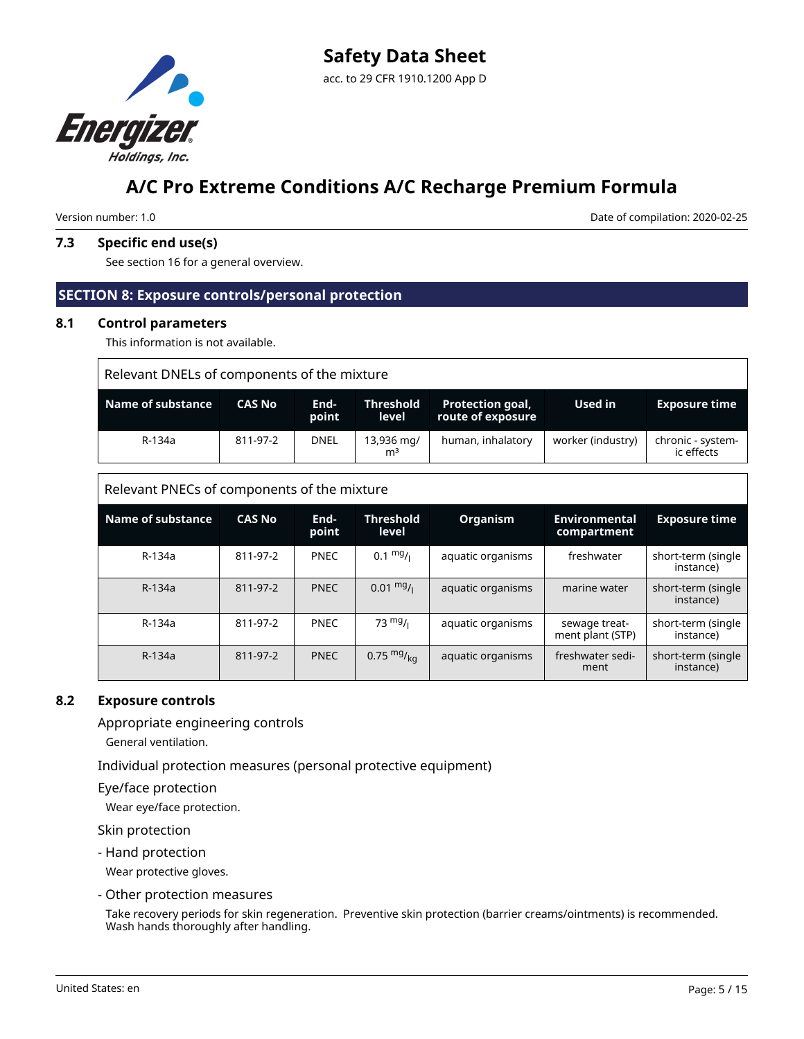

Version number: 1.0 Date of compilation: 2020-02-25

# **7.3 Specific end use(s)**

See section 16 for a general overview.

# **SECTION 8: Exposure controls/personal protection**

#### **8.1 Control parameters**

This information is not available.

| Relevant DNELs of components of the mixture |          |               |                              |                                              |                   |                                 |  |  |
|---------------------------------------------|----------|---------------|------------------------------|----------------------------------------------|-------------------|---------------------------------|--|--|
| Name of substance<br><b>CAS No</b>          |          | End-<br>point | <b>Threshold</b><br>level    | <b>Protection goal,</b><br>route of exposure | Used in           | <b>Exposure time</b>            |  |  |
| R-134a                                      | 811-97-2 | <b>DNEL</b>   | 13,936 mg/<br>m <sup>3</sup> | human, inhalatory                            | worker (industry) | chronic - system-<br>ic effects |  |  |

Relevant PNECs of components of the mixture

| <b>Name of substance</b> | <b>CAS No</b> | End-<br>point | <b>Threshold</b><br>level | <b>Organism</b>   | <b>Environmental</b><br>compartment | <b>Exposure time</b>            |
|--------------------------|---------------|---------------|---------------------------|-------------------|-------------------------------------|---------------------------------|
| R-134a                   | 811-97-2      | <b>PNEC</b>   | $0.1 \frac{mg}{L}$        | aquatic organisms | freshwater                          | short-term (single<br>instance) |
| R-134a                   | 811-97-2      | <b>PNEC</b>   | $0.01 \frac{mg}{L}$       | aquatic organisms | marine water                        | short-term (single<br>instance) |
| R-134a                   | 811-97-2      | <b>PNEC</b>   | $73 \frac{mg}{l}$         | aquatic organisms | sewage treat-<br>ment plant (STP)   | short-term (single<br>instance) |
| R-134a                   | 811-97-2      | <b>PNEC</b>   | 0.75 $mg/kq$              | aquatic organisms | freshwater sedi-<br>ment            | short-term (single<br>instance) |

# **8.2 Exposure controls**

Appropriate engineering controls

General ventilation.

Individual protection measures (personal protective equipment)

Eye/face protection

Wear eye/face protection.

Skin protection

- Hand protection

Wear protective gloves.

- Other protection measures

Take recovery periods for skin regeneration. Preventive skin protection (barrier creams/ointments) is recommended. Wash hands thoroughly after handling.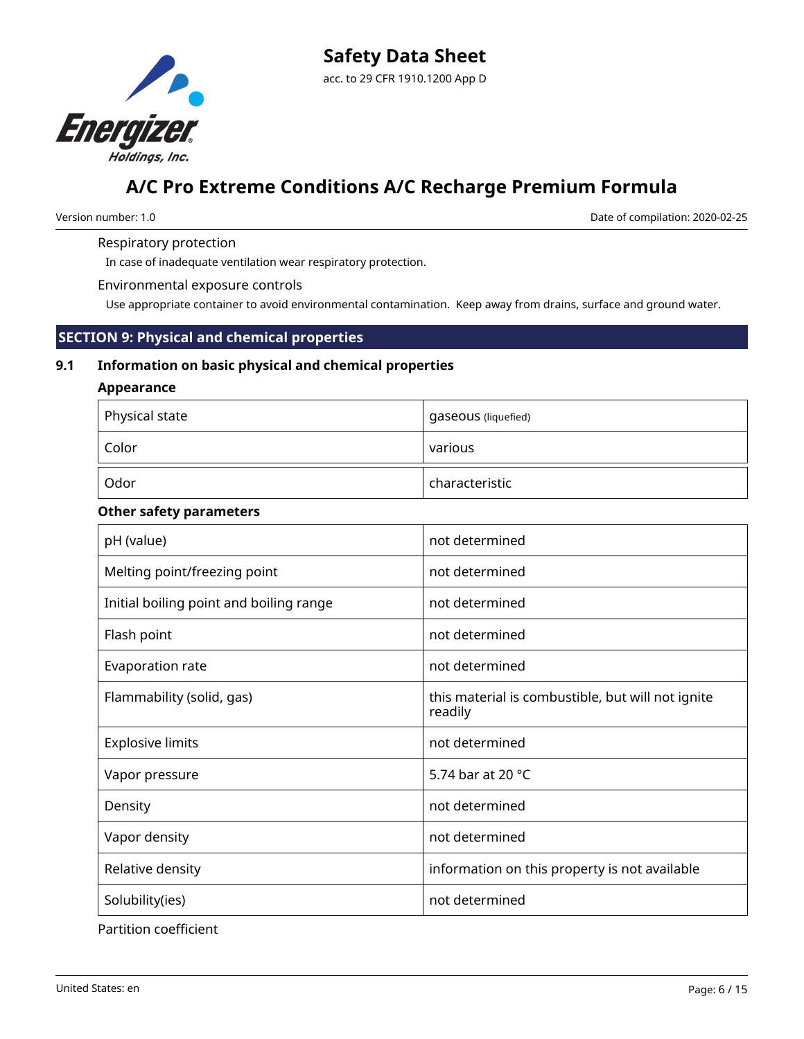

Version number: 1.0 Date of compilation: 2020-02-25

# Respiratory protection

In case of inadequate ventilation wear respiratory protection.

Environmental exposure controls

Use appropriate container to avoid environmental contamination. Keep away from drains, surface and ground water.

# **SECTION 9: Physical and chemical properties**

### **9.1 Information on basic physical and chemical properties**

# **Appearance**

| Physical state | gaseous (liquefied) |
|----------------|---------------------|
| Color          | various             |
| Odor           | characteristic      |

#### **Other safety parameters**

| pH (value)                              | not determined                                               |
|-----------------------------------------|--------------------------------------------------------------|
| Melting point/freezing point            | not determined                                               |
| Initial boiling point and boiling range | not determined                                               |
| Flash point                             | not determined                                               |
| Evaporation rate                        | not determined                                               |
| Flammability (solid, gas)               | this material is combustible, but will not ignite<br>readily |
| <b>Explosive limits</b>                 | not determined                                               |
| Vapor pressure                          | 5.74 bar at 20 °C                                            |
| Density                                 | not determined                                               |
| Vapor density                           | not determined                                               |
| Relative density                        | information on this property is not available                |
| Solubility(ies)                         | not determined                                               |

Partition coefficient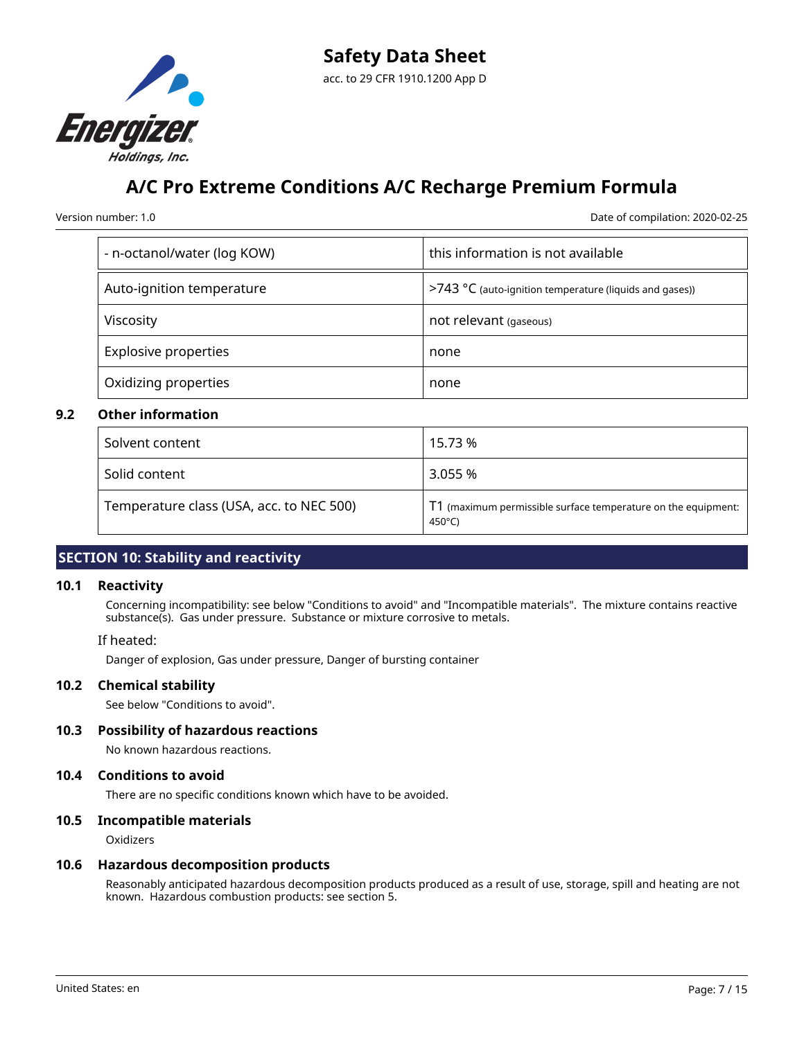

Version number: 1.0 Date of compilation: 2020-02-25

| - n-octanol/water (log KOW) | this information is not available                                |
|-----------------------------|------------------------------------------------------------------|
| Auto-ignition temperature   | >743 $\degree$ C (auto-ignition temperature (liquids and gases)) |
| Viscosity                   | not relevant (gaseous)                                           |
| <b>Explosive properties</b> | none                                                             |
| Oxidizing properties        | none                                                             |

# **9.2 Other information**

| Solvent content                          | 15.73 %                                                                 |
|------------------------------------------|-------------------------------------------------------------------------|
| Solid content                            | 3.055 %                                                                 |
| Temperature class (USA, acc. to NEC 500) | T1 (maximum permissible surface temperature on the equipment:<br>450°C) |

# **SECTION 10: Stability and reactivity**

### **10.1 Reactivity**

Concerning incompatibility: see below "Conditions to avoid" and "Incompatible materials". The mixture contains reactive substance(s). Gas under pressure. Substance or mixture corrosive to metals.

#### If heated:

Danger of explosion, Gas under pressure, Danger of bursting container

### **10.2 Chemical stability**

See below "Conditions to avoid".

### **10.3 Possibility of hazardous reactions**

No known hazardous reactions.

#### **10.4 Conditions to avoid**

There are no specific conditions known which have to be avoided.

### **10.5 Incompatible materials**

**Oxidizers** 

#### **10.6 Hazardous decomposition products**

Reasonably anticipated hazardous decomposition products produced as a result of use, storage, spill and heating are not known. Hazardous combustion products: see section 5.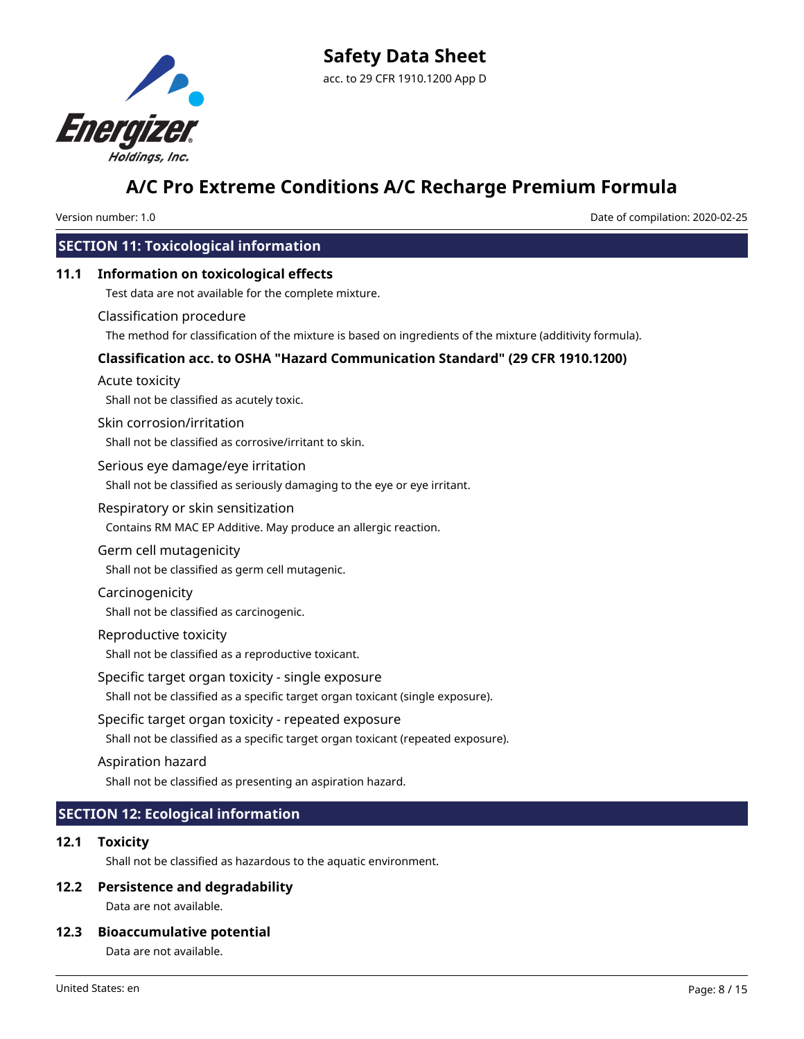

Version number: 1.0 Date of compilation: 2020-02-25

# **SECTION 11: Toxicological information**

# **11.1 Information on toxicological effects**

Test data are not available for the complete mixture.

#### Classification procedure

The method for classification of the mixture is based on ingredients of the mixture (additivity formula).

# **Classification acc. to OSHA "Hazard Communication Standard" (29 CFR 1910.1200)**

#### Acute toxicity

Shall not be classified as acutely toxic.

#### Skin corrosion/irritation

Shall not be classified as corrosive/irritant to skin.

#### Serious eye damage/eye irritation

Shall not be classified as seriously damaging to the eye or eye irritant.

#### Respiratory or skin sensitization

Contains RM MAC EP Additive. May produce an allergic reaction.

#### Germ cell mutagenicity

Shall not be classified as germ cell mutagenic.

### Carcinogenicity

Shall not be classified as carcinogenic.

### Reproductive toxicity

Shall not be classified as a reproductive toxicant.

### Specific target organ toxicity - single exposure

Shall not be classified as a specific target organ toxicant (single exposure).

# Specific target organ toxicity - repeated exposure

Shall not be classified as a specific target organ toxicant (repeated exposure).

### Aspiration hazard

Shall not be classified as presenting an aspiration hazard.

# **SECTION 12: Ecological information**

# **12.1 Toxicity**

Shall not be classified as hazardous to the aquatic environment.

### **12.2 Persistence and degradability**

Data are not available.

# **12.3 Bioaccumulative potential**

Data are not available.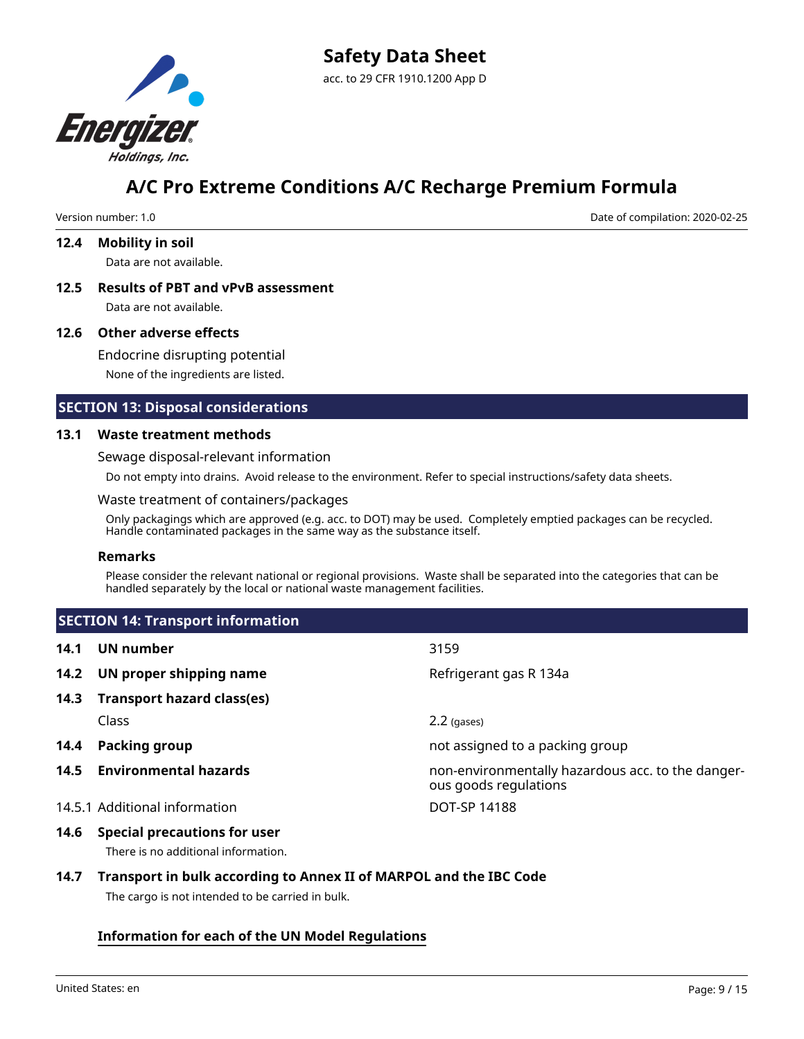

Version number: 1.0 Date of compilation: 2020-02-25

#### **12.4 Mobility in soil**

Data are not available.

**12.5 Results of PBT and vPvB assessment** Data are not available.

#### **12.6 Other adverse effects**

Endocrine disrupting potential None of the ingredients are listed.

# **SECTION 13: Disposal considerations**

#### **13.1 Waste treatment methods**

Sewage disposal-relevant information

Do not empty into drains. Avoid release to the environment. Refer to special instructions/safety data sheets.

#### Waste treatment of containers/packages

Only packagings which are approved (e.g. acc. to DOT) may be used. Completely emptied packages can be recycled. Handle contaminated packages in the same way as the substance itself.

#### **Remarks**

Please consider the relevant national or regional provisions. Waste shall be separated into the categories that can be handled separately by the local or national waste management facilities.

|      | <b>SECTION 14: Transport information</b> |                                                                            |
|------|------------------------------------------|----------------------------------------------------------------------------|
| 14.1 | UN number                                | 3159                                                                       |
|      | 14.2 UN proper shipping name             | Refrigerant gas R 134a                                                     |
| 14.3 | <b>Transport hazard class(es)</b>        |                                                                            |
|      | Class                                    | $2.2$ (gases)                                                              |
| 14.4 | <b>Packing group</b>                     | not assigned to a packing group                                            |
| 14.5 | <b>Environmental hazards</b>             | non-environmentally hazardous acc. to the danger-<br>ous goods regulations |
|      | 14.5.1 Additional information            | DOT-SP 14188                                                               |

# **14.6 Special precautions for user**

There is no additional information.

# **14.7 Transport in bulk according to Annex II of MARPOL and the IBC Code**

The cargo is not intended to be carried in bulk.

# **Information for each of the UN Model Regulations**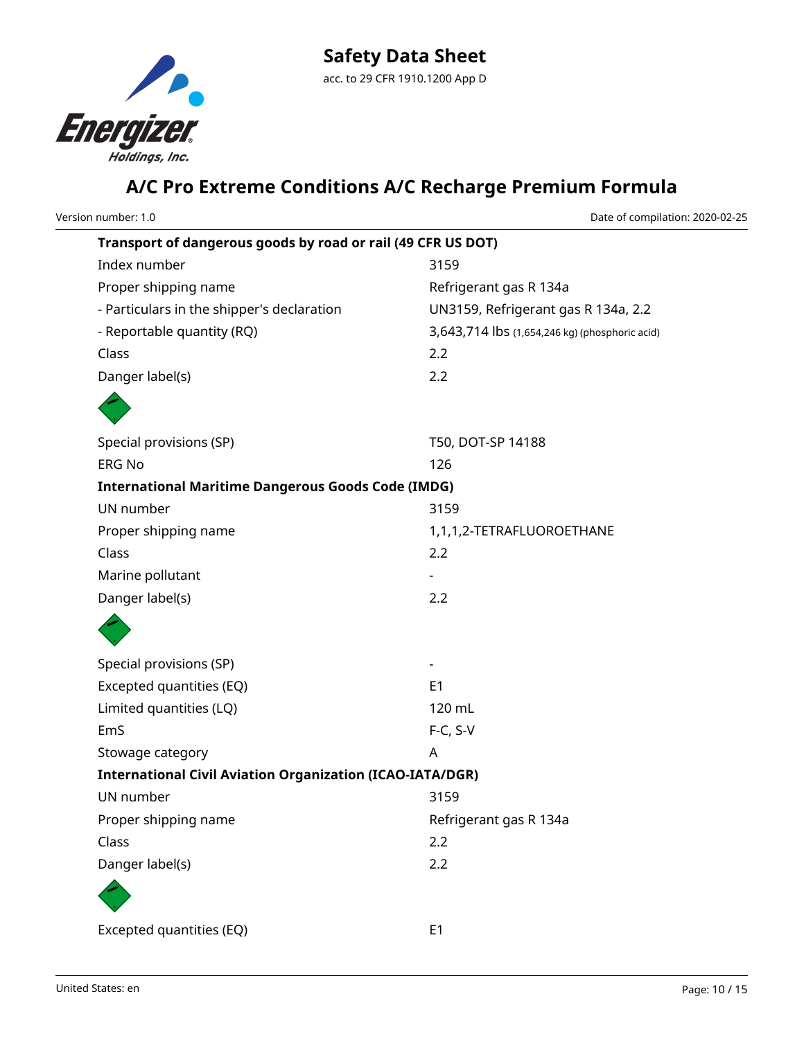

| Version number: 1.0                                              | Date of compilation: 2020-02-25                |
|------------------------------------------------------------------|------------------------------------------------|
| Transport of dangerous goods by road or rail (49 CFR US DOT)     |                                                |
| Index number                                                     | 3159                                           |
| Proper shipping name                                             | Refrigerant gas R 134a                         |
| - Particulars in the shipper's declaration                       | UN3159, Refrigerant gas R 134a, 2.2            |
| - Reportable quantity (RQ)                                       | 3,643,714 lbs (1,654,246 kg) (phosphoric acid) |
| Class                                                            | 2.2                                            |
| Danger label(s)                                                  | 2.2                                            |
|                                                                  |                                                |
| Special provisions (SP)                                          | T50, DOT-SP 14188                              |
| <b>ERG No</b>                                                    | 126                                            |
| <b>International Maritime Dangerous Goods Code (IMDG)</b>        |                                                |
| UN number                                                        | 3159                                           |
| Proper shipping name                                             | 1,1,1,2-TETRAFLUOROETHANE                      |
| Class                                                            | 2.2                                            |
| Marine pollutant                                                 |                                                |
| Danger label(s)                                                  | 2.2                                            |
|                                                                  |                                                |
| Special provisions (SP)                                          |                                                |
| Excepted quantities (EQ)                                         | E <sub>1</sub>                                 |
| Limited quantities (LQ)                                          | 120 mL                                         |
| EmS                                                              | $F-C, S-V$                                     |
| Stowage category                                                 | A                                              |
| <b>International Civil Aviation Organization (ICAO-IATA/DGR)</b> |                                                |
| UN number                                                        | 3159                                           |
| Proper shipping name                                             | Refrigerant gas R 134a                         |
| Class                                                            | 2.2                                            |
| Danger label(s)                                                  | 2.2                                            |
|                                                                  |                                                |
| Excepted quantities (EQ)                                         | E <sub>1</sub>                                 |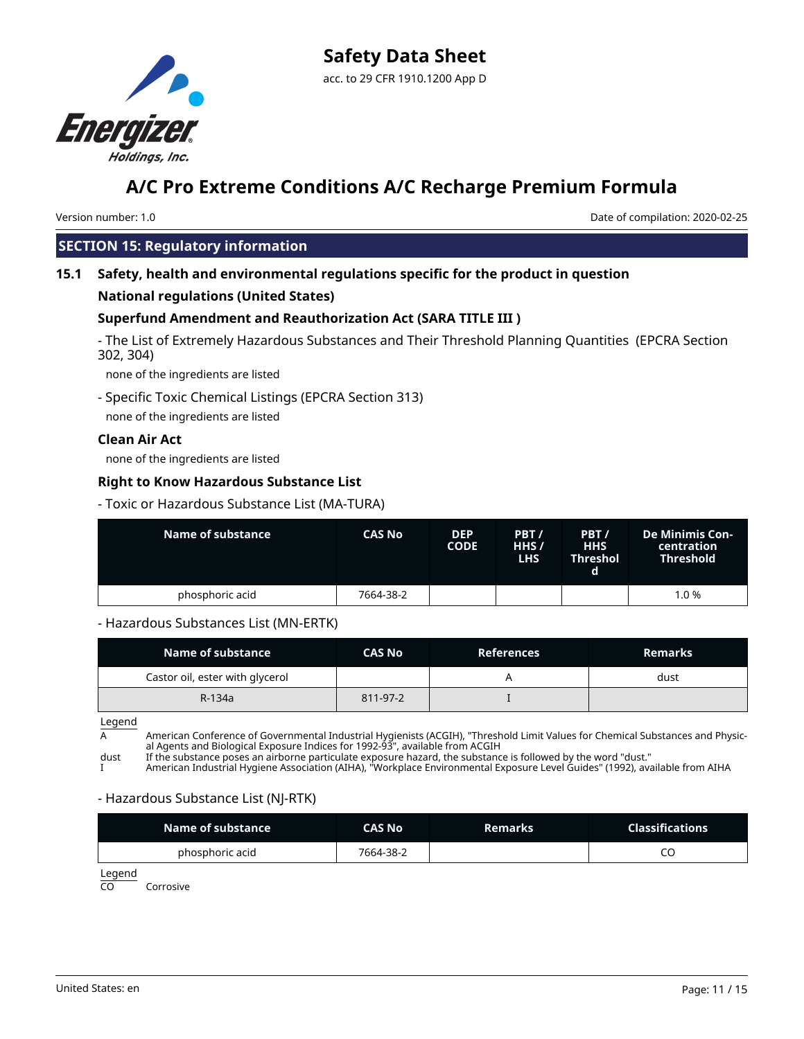

Version number: 1.0 Date of compilation: 2020-02-25

# **SECTION 15: Regulatory information**

# **15.1 Safety, health and environmental regulations specific for the product in question**

# **National regulations (United States)**

# **Superfund Amendment and Reauthorization Act (SARA TITLE III )**

- The List of Extremely Hazardous Substances and Their Threshold Planning Quantities (EPCRA Section 302, 304)

none of the ingredients are listed

- Specific Toxic Chemical Listings (EPCRA Section 313) none of the ingredients are listed

# **Clean Air Act**

none of the ingredients are listed

# **Right to Know Hazardous Substance List**

- Toxic or Hazardous Substance List (MA-TURA)

| Name of substance | <b>CAS No</b> | <b>DEP</b><br><b>CODE</b> | PBT/<br>HHS /<br><b>LHS</b> | PBT/<br><b>HHS</b><br>Threshol | <b>De Minimis Con-</b><br>centration<br><b>Threshold</b> |
|-------------------|---------------|---------------------------|-----------------------------|--------------------------------|----------------------------------------------------------|
| phosphoric acid   | 7664-38-2     |                           |                             |                                | 1.0 %                                                    |

# - Hazardous Substances List (MN-ERTK)

| Name of substance               | <b>CAS No</b> | <b>References</b> | <b>Remarks</b> |
|---------------------------------|---------------|-------------------|----------------|
| Castor oil, ester with glycerol |               |                   | dust           |
| R-134a                          | 811-97-2      |                   |                |

Legend

A American Conference of Governmental Industrial Hygienists (ACGIH), "Threshold Limit Values for Chemical Substances and Physical Agents and Biological Exposure Indices for 1992-93", available from ACGIH

dust If the substance poses an airborne particulate exposure hazard, the substance is followed by the word "dust."

I American Industrial Hygiene Association (AIHA), "Workplace Environmental Exposure Level Guides" (1992), available from AIHA

### - Hazardous Substance List (NJ-RTK)

| Name of substance | CAS No    | <b>Remarks</b> | <b>Classifications</b> |
|-------------------|-----------|----------------|------------------------|
| phosphoric acid   | 7664-38-2 |                | ب                      |

Legend

CO Corrosive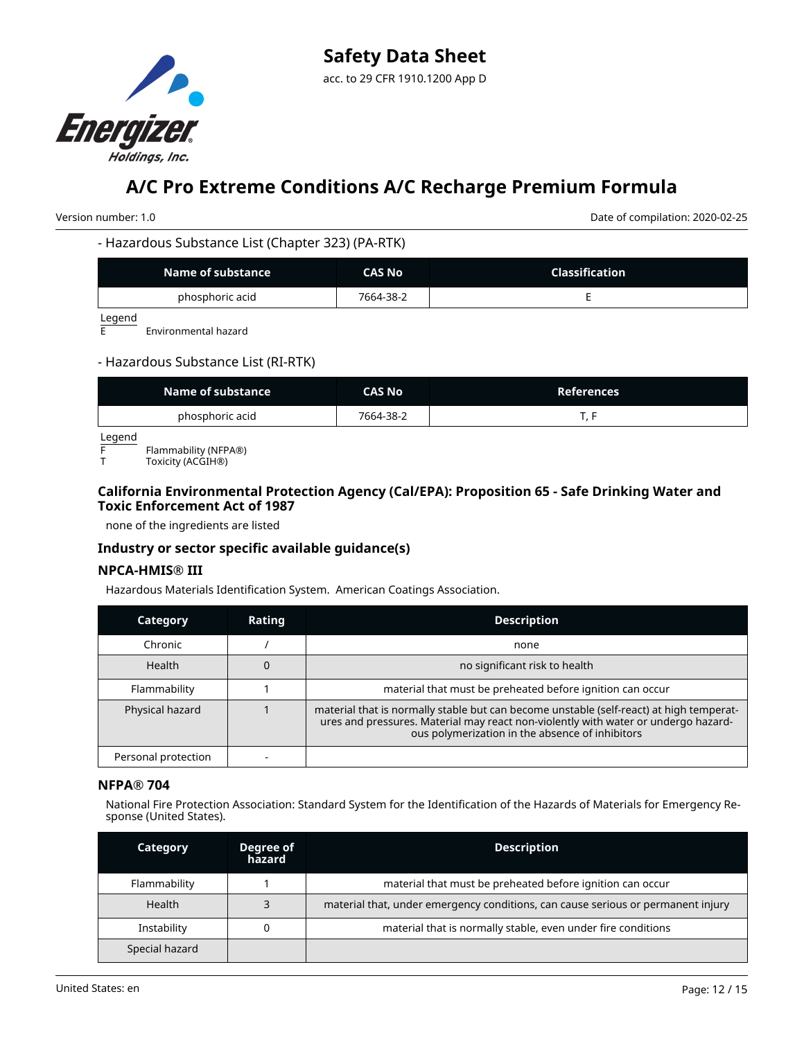

Version number: 1.0 Date of compilation: 2020-02-25

#### - Hazardous Substance List (Chapter 323) (PA-RTK)

| Name of substance | CAS No    | <b>Classification</b> |
|-------------------|-----------|-----------------------|
| phosphoric acid   | 7664-38-2 |                       |

 $\frac{\text{Legend}}{\text{E}}$ 

Environmental hazard

### - Hazardous Substance List (RI-RTK)

| Name of substance | CAS No    | <b>References</b> |
|-------------------|-----------|-------------------|
| phosphoric acid   | 7664-38-2 |                   |

Legend

F Flammability (NFPA®)

Toxicity (ACGIH®)

# **California Environmental Protection Agency (Cal/EPA): Proposition 65 - Safe Drinking Water and Toxic Enforcement Act of 1987**

none of the ingredients are listed

# **Industry or sector specific available guidance(s)**

### **NPCA-HMIS® III**

Hazardous Materials Identification System. American Coatings Association.

| Category            | Rating | <b>Description</b>                                                                                                                                                                                                               |
|---------------------|--------|----------------------------------------------------------------------------------------------------------------------------------------------------------------------------------------------------------------------------------|
| Chronic             |        | none                                                                                                                                                                                                                             |
| <b>Health</b>       |        | no significant risk to health                                                                                                                                                                                                    |
| Flammability        |        | material that must be preheated before ignition can occur                                                                                                                                                                        |
| Physical hazard     |        | material that is normally stable but can become unstable (self-react) at high temperat-<br>ures and pressures. Material may react non-violently with water or undergo hazard-<br>ous polymerization in the absence of inhibitors |
| Personal protection |        |                                                                                                                                                                                                                                  |

#### **NFPA® 704**

National Fire Protection Association: Standard System for the Identification of the Hazards of Materials for Emergency Response (United States).

| Category       | Degree of<br>hazard | <b>Description</b>                                                               |
|----------------|---------------------|----------------------------------------------------------------------------------|
| Flammability   |                     | material that must be preheated before ignition can occur                        |
| Health         |                     | material that, under emergency conditions, can cause serious or permanent injury |
| Instability    |                     | material that is normally stable, even under fire conditions                     |
| Special hazard |                     |                                                                                  |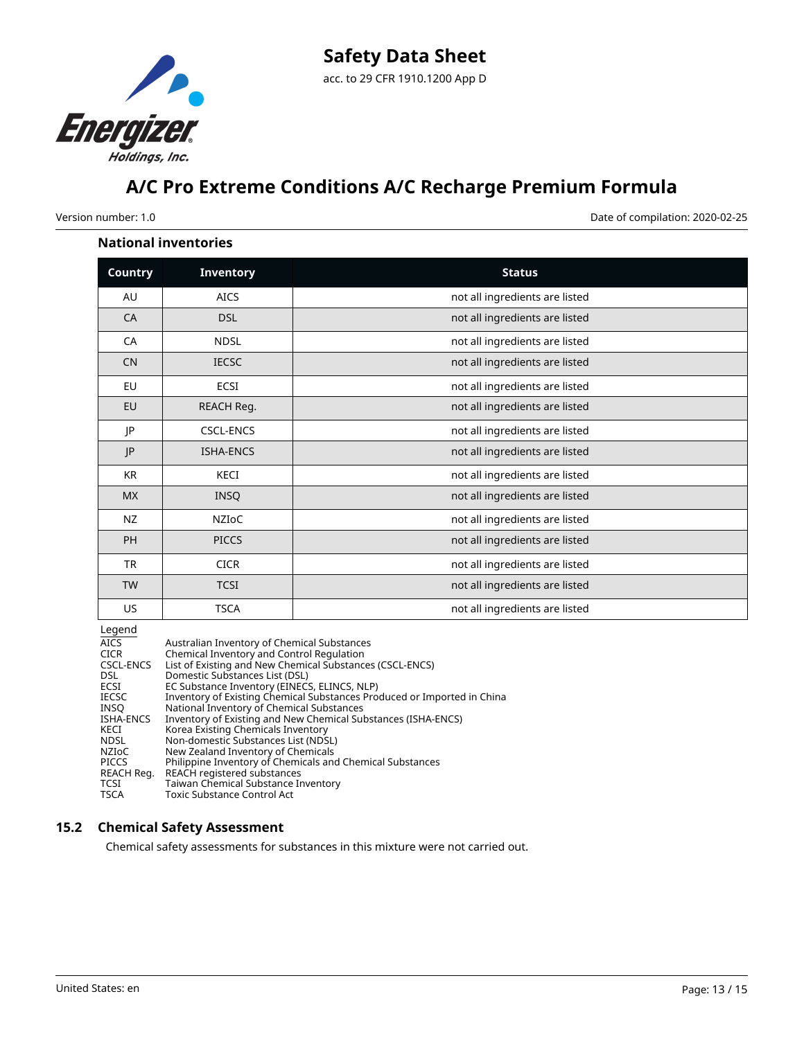

Version number: 1.0 Date of compilation: 2020-02-25

#### **National inventories**

| <b>Country</b> | <b>Inventory</b> | <b>Status</b>                  |
|----------------|------------------|--------------------------------|
| AU             | <b>AICS</b>      | not all ingredients are listed |
| CA             | <b>DSL</b>       | not all ingredients are listed |
| CA             | <b>NDSL</b>      | not all ingredients are listed |
| <b>CN</b>      | <b>IECSC</b>     | not all ingredients are listed |
| EU             | ECSI             | not all ingredients are listed |
| EU             | REACH Reg.       | not all ingredients are listed |
| JP             | <b>CSCL-ENCS</b> | not all ingredients are listed |
| P              | <b>ISHA-ENCS</b> | not all ingredients are listed |
| KR             | KECI             | not all ingredients are listed |
| <b>MX</b>      | <b>INSQ</b>      | not all ingredients are listed |
| <b>NZ</b>      | NZIOC            | not all ingredients are listed |
| PH             | <b>PICCS</b>     | not all ingredients are listed |
| <b>TR</b>      | <b>CICR</b>      | not all ingredients are listed |
| <b>TW</b>      | <b>TCSI</b>      | not all ingredients are listed |
| US             | <b>TSCA</b>      | not all ingredients are listed |

Legend

| Australian Inventory of Chemical Substances                             |
|-------------------------------------------------------------------------|
| Chemical Inventory and Control Regulation                               |
| List of Existing and New Chemical Substances (CSCL-ENCS)                |
| Domestic Substances List (DSL)                                          |
| EC Substance Inventory (EINECS, ELINCS, NLP)                            |
| Inventory of Existing Chemical Substances Produced or Imported in China |
| National Inventory of Chemical Substances                               |
| Inventory of Existing and New Chemical Substances (ISHA-ENCS)           |
| Korea Existing Chemicals Inventory                                      |
| Non-domestic Substances List (NDSL)                                     |
| New Zealand Inventory of Chemicals                                      |
| Philippine Inventory of Chemicals and Chemical Substances               |
| REACH registered substances                                             |
| Taiwan Chemical Substance Inventory                                     |
| <b>Toxic Substance Control Act</b>                                      |
|                                                                         |

### **15.2 Chemical Safety Assessment**

Chemical safety assessments for substances in this mixture were not carried out.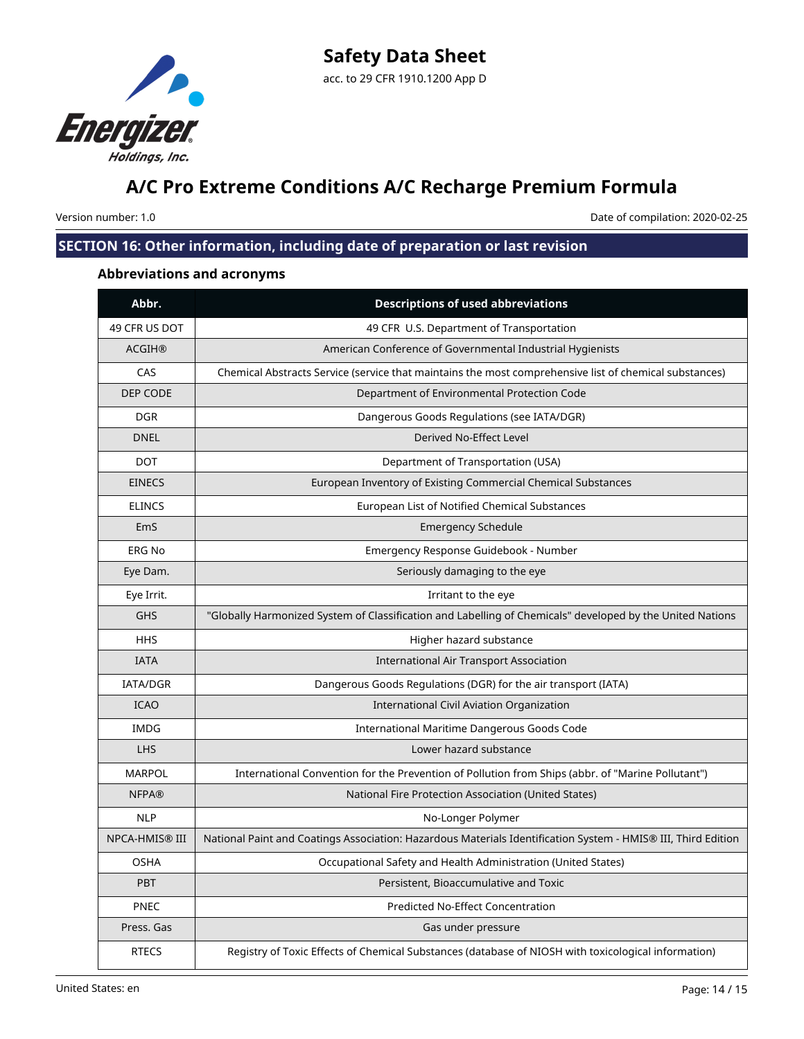

Version number: 1.0 Date of compilation: 2020-02-25

# **SECTION 16: Other information, including date of preparation or last revision**

# **Abbreviations and acronyms**

| Abbr.           | <b>Descriptions of used abbreviations</b>                                                                     |
|-----------------|---------------------------------------------------------------------------------------------------------------|
| 49 CFR US DOT   | 49 CFR U.S. Department of Transportation                                                                      |
| <b>ACGIH®</b>   | American Conference of Governmental Industrial Hygienists                                                     |
| CAS             | Chemical Abstracts Service (service that maintains the most comprehensive list of chemical substances)        |
| DEP CODE        | Department of Environmental Protection Code                                                                   |
| <b>DGR</b>      | Dangerous Goods Regulations (see IATA/DGR)                                                                    |
| <b>DNEL</b>     | Derived No-Effect Level                                                                                       |
| <b>DOT</b>      | Department of Transportation (USA)                                                                            |
| <b>EINECS</b>   | European Inventory of Existing Commercial Chemical Substances                                                 |
| <b>ELINCS</b>   | European List of Notified Chemical Substances                                                                 |
| EmS             | <b>Emergency Schedule</b>                                                                                     |
| <b>ERG No</b>   | Emergency Response Guidebook - Number                                                                         |
| Eye Dam.        | Seriously damaging to the eye                                                                                 |
| Eye Irrit.      | Irritant to the eye                                                                                           |
| <b>GHS</b>      | "Globally Harmonized System of Classification and Labelling of Chemicals" developed by the United Nations     |
| <b>HHS</b>      | Higher hazard substance                                                                                       |
| <b>IATA</b>     | <b>International Air Transport Association</b>                                                                |
| <b>IATA/DGR</b> | Dangerous Goods Regulations (DGR) for the air transport (IATA)                                                |
| <b>ICAO</b>     | International Civil Aviation Organization                                                                     |
| <b>IMDG</b>     | International Maritime Dangerous Goods Code                                                                   |
| <b>LHS</b>      | Lower hazard substance                                                                                        |
| <b>MARPOL</b>   | International Convention for the Prevention of Pollution from Ships (abbr. of "Marine Pollutant")             |
| <b>NFPA®</b>    | National Fire Protection Association (United States)                                                          |
| <b>NLP</b>      | No-Longer Polymer                                                                                             |
| NPCA-HMIS® III  | National Paint and Coatings Association: Hazardous Materials Identification System - HMIS® III, Third Edition |
| <b>OSHA</b>     | Occupational Safety and Health Administration (United States)                                                 |
| PBT             | Persistent, Bioaccumulative and Toxic                                                                         |
| <b>PNEC</b>     | Predicted No-Effect Concentration                                                                             |
| Press. Gas      | Gas under pressure                                                                                            |
| <b>RTECS</b>    | Registry of Toxic Effects of Chemical Substances (database of NIOSH with toxicological information)           |